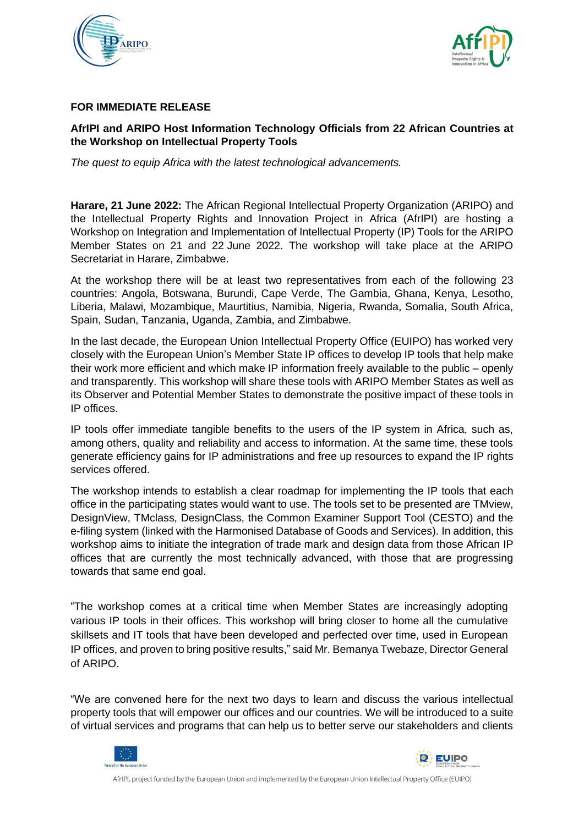



#### **FOR IMMEDIATE RELEASE**

## **AfrIPI and ARIPO Host Information Technology Officials from 22 African Countries at the Workshop on Intellectual Property Tools**

*The quest to equip Africa with the latest technological advancements.*

**Harare, 21 June 2022:** The African Regional Intellectual Property Organization (ARIPO) and the Intellectual Property Rights and Innovation Project in Africa (AfrIPI) are hosting a Workshop on Integration and Implementation of Intellectual Property (IP) Tools for the ARIPO Member States on 21 and 22 June 2022. The workshop will take place at the ARIPO Secretariat in Harare, Zimbabwe.

At the workshop there will be at least two representatives from each of the following 23 countries: Angola, Botswana, Burundi, Cape Verde, The Gambia, Ghana, Kenya, Lesotho, Liberia, Malawi, Mozambique, Maurtitius, Namibia, Nigeria, Rwanda, Somalia, South Africa, Spain, Sudan, Tanzania, Uganda, Zambia, and Zimbabwe.

In the last decade, the European Union Intellectual Property Office (EUIPO) has worked very closely with the European Union's Member State IP offices to develop IP tools that help make their work more efficient and which make IP information freely available to the public – openly and transparently. This workshop will share these tools with ARIPO Member States as well as its Observer and Potential Member States to demonstrate the positive impact of these tools in IP offices.

IP tools offer immediate tangible benefits to the users of the IP system in Africa, such as, among others, quality and reliability and access to information. At the same time, these tools generate efficiency gains for IP administrations and free up resources to expand the IP rights services offered.

The workshop intends to establish a clear roadmap for implementing the IP tools that each office in the participating states would want to use. The tools set to be presented are TMview, DesignView, TMclass, DesignClass, the Common Examiner Support Tool (CESTO) and the e-filing system (linked with the Harmonised Database of Goods and Services). In addition, this workshop aims to initiate the integration of trade mark and design data from those African IP offices that are currently the most technically advanced, with those that are progressing towards that same end goal.

"The workshop comes at a critical time when Member States are increasingly adopting various IP tools in their offices. This workshop will bring closer to home all the cumulative skillsets and IT tools that have been developed and perfected over time, used in European IP offices, and proven to bring positive results," said Mr. Bemanya Twebaze, Director General of ARIPO.

"We are convened here for the next two days to learn and discuss the various intellectual property tools that will empower our offices and our countries. We will be introduced to a suite of virtual services and programs that can help us to better serve our stakeholders and clients



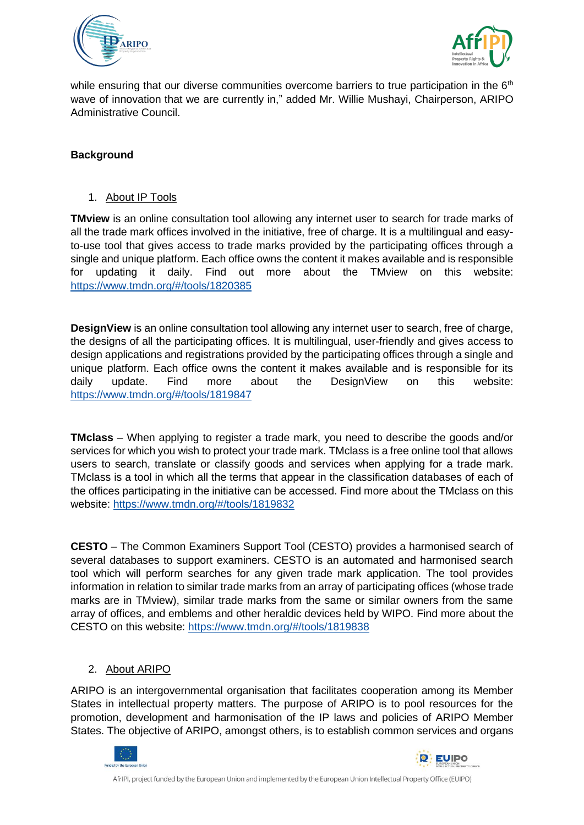



while ensuring that our diverse communities overcome barriers to true participation in the  $6<sup>th</sup>$ wave of innovation that we are currently in," added Mr. Willie Mushayi, Chairperson, ARIPO Administrative Council.

# **Background**

1. About IP Tools

**TMview** is an online consultation tool allowing any internet user to search for trade marks of all the trade mark offices involved in the initiative, free of charge. It is a multilingual and easyto-use tool that gives access to trade marks provided by the participating offices through a single and unique platform. Each office owns the content it makes available and is responsible for updating it daily. Find out more about the TMview on this website: <https://www.tmdn.org/#/tools/1820385>

**DesignView** is an online consultation tool allowing any internet user to search, free of charge, the designs of all the participating offices. It is multilingual, user-friendly and gives access to design applications and registrations provided by the participating offices through a single and unique platform. Each office owns the content it makes available and is responsible for its daily update. Find more about the DesignView on this website: <https://www.tmdn.org/#/tools/1819847>

**TMclass** – When applying to register a trade mark, you need to describe the goods and/or services for which you wish to protect your trade mark. TMclass is a free online tool that allows users to search, translate or classify goods and services when applying for a trade mark. TMclass is a tool in which all the terms that appear in the classification databases of each of the offices participating in the initiative can be accessed. Find more about the TMclass on this website: <https://www.tmdn.org/#/tools/1819832>

**CESTO** – The Common Examiners Support Tool (CESTO) provides a harmonised search of several databases to support examiners. CESTO is an automated and harmonised search tool which will perform searches for any given trade mark application. The tool provides information in relation to similar trade marks from an array of participating offices (whose trade marks are in TMview), similar trade marks from the same or similar owners from the same array of offices, and emblems and other heraldic devices held by WIPO. Find more about the CESTO on this website:<https://www.tmdn.org/#/tools/1819838>

#### 2. About ARIPO

ARIPO is an intergovernmental organisation that facilitates cooperation among its Member States in intellectual property matters. The purpose of ARIPO is to pool resources for the promotion, development and harmonisation of the IP laws and policies of ARIPO Member States. The objective of ARIPO, amongst others, is to establish common services and organs